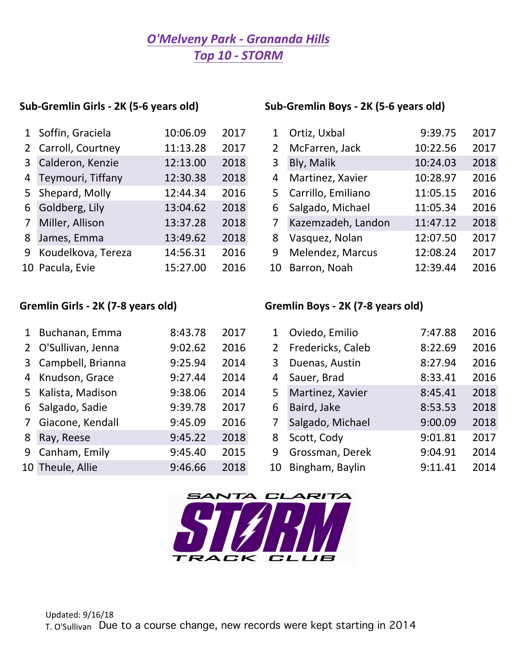## *O'Melveny Park - Grananda Hills Top 10 - STORM*

| 1 Soffin, Graciela   | 10:06.09 | 2017 | $\mathbf 1$ | Ortiz, Uxbal         | 9:39.75  | 2017 |
|----------------------|----------|------|-------------|----------------------|----------|------|
| 2 Carroll, Courtney  | 11:13.28 | 2017 | 2           | McFarren, Jack       | 10:22.56 | 2017 |
| 3 Calderon, Kenzie   | 12:13.00 | 2018 | 3           | Bly, Malik           | 10:24.03 | 2018 |
| 4 Teymouri, Tiffany  | 12:30.38 | 2018 | 4           | Martinez, Xavier     | 10:28.97 | 2016 |
| 5 Shepard, Molly     | 12:44.34 | 2016 |             | 5 Carrillo, Emiliano | 11:05.15 | 2016 |
| 6 Goldberg, Lily     | 13:04.62 | 2018 | 6           | Salgado, Michael     | 11:05.34 | 2016 |
| 7 Miller, Allison    | 13:37.28 | 2018 | 7           | Kazemzadeh, Landon   | 11:47.12 | 2018 |
| 8 James, Emma        | 13:49.62 | 2018 | 8           | Vasquez, Nolan       | 12:07.50 | 2017 |
| 9 Koudelkova, Tereza | 14:56.31 | 2016 | 9           | Melendez, Marcus     | 12:08.24 | 2017 |
| 10 Pacula, Evie      | 15:27.00 | 2016 |             | 10 Barron, Noah      | 12:39.44 | 2016 |

### Sub-Gremlin Girls - 2K (5-6 years old) Sub-Gremlin Boys - 2K (5-6 years old)

| 1 Soffin, Graciela   | 10:06.09 | 2017 |                | Ortiz, Uxbal         | 9:39.75  | 2017 |
|----------------------|----------|------|----------------|----------------------|----------|------|
| 2 Carroll, Courtney  | 11:13.28 | 2017 | $\overline{2}$ | McFarren, Jack       | 10:22.56 | 2017 |
| 3 Calderon, Kenzie   | 12:13.00 | 2018 | 3              | Bly, Malik           | 10:24.03 | 2018 |
| 4 Teymouri, Tiffany  | 12:30.38 | 2018 | 4              | Martinez, Xavier     | 10:28.97 | 2016 |
| 5 Shepard, Molly     | 12:44.34 | 2016 |                | 5 Carrillo, Emiliano | 11:05.15 | 2016 |
| 6 Goldberg, Lily     | 13:04.62 | 2018 |                | 6 Salgado, Michael   | 11:05.34 | 2016 |
| 7 Miller, Allison    | 13:37.28 | 2018 |                | Kazemzadeh, Landon   | 11:47.12 | 2018 |
| 8 James, Emma        | 13:49.62 | 2018 | 8              | Vasquez, Nolan       | 12:07.50 | 2017 |
| 9 Koudelkova, Tereza | 14:56.31 | 2016 | 9              | Melendez, Marcus     | 12:08.24 | 2017 |
| LO Pacula, Evie      | 15:27.00 | 2016 | 10             | Barron, Noah         | 12:39.44 | 2016 |
|                      |          |      |                |                      |          |      |

## Gremlin Girls - 2K (7-8 years old) Gremlin Boys - 2K (7-8 years old)

|   | 1 Buchanan, Emma    | 8:43.78 | 2017 | $\mathbf{1}$ | Oviedo, Emilio    | 7:47.88 | 2016 |
|---|---------------------|---------|------|--------------|-------------------|---------|------|
|   | 2 O'Sullivan, Jenna | 9:02.62 | 2016 | $\mathbf{2}$ | Fredericks, Caleb | 8:22.69 | 2016 |
|   | 3 Campbell, Brianna | 9:25.94 | 2014 | 3            | Duenas, Austin    | 8:27.94 | 2016 |
|   | 4 Knudson, Grace    | 9:27.44 | 2014 | 4            | Sauer, Brad       | 8:33.41 | 2016 |
|   | 5 Kalista, Madison  | 9:38.06 | 2014 | 5            | Martinez, Xavier  | 8:45.41 | 2018 |
|   | 6 Salgado, Sadie    | 9:39.78 | 2017 | 6            | Baird, Jake       | 8:53.53 | 2018 |
|   | 7 Giacone, Kendall  | 9:45.09 | 2016 |              | Salgado, Michael  | 9:00.09 | 2018 |
| 8 | Ray, Reese          | 9:45.22 | 2018 | 8            | Scott, Cody       | 9:01.81 | 2017 |
|   | 9 Canham, Emily     | 9:45.40 | 2015 | 9            | Grossman, Derek   | 9:04.91 | 2014 |
|   | 10 Theule, Allie    | 9:46.66 | 2018 | 10           | Bingham, Baylin   | 9:11.41 | 2014 |
|   |                     |         |      |              |                   |         |      |

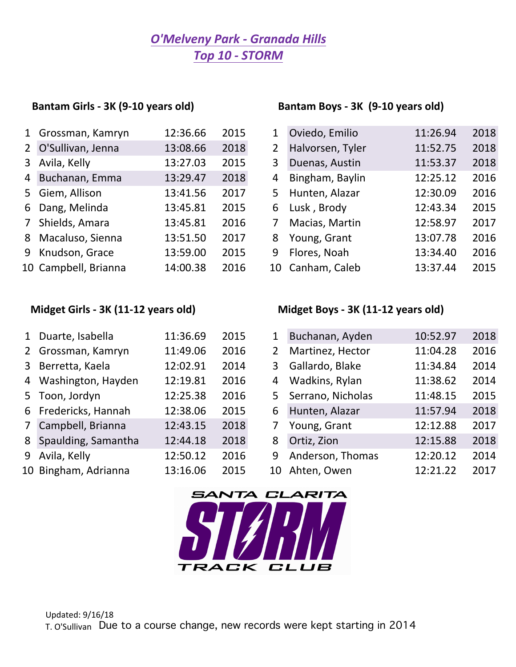# *O'Melveny Park - Granada Hills Top 10 - STORM*

### Bantam Girls - 3K (9-10 years old) Bantam Boys - 3K (9-10 years old)

| 1 Grossman, Kamryn   | 12:36.66 | 2015 | 1           | Oviedo, Emilio   | 11:26.94 | 2018 |
|----------------------|----------|------|-------------|------------------|----------|------|
| 2 O'Sullivan, Jenna  | 13:08.66 | 2018 | $2^{\circ}$ | Halvorsen, Tyler | 11:52.75 | 2018 |
| 3 Avila, Kelly       | 13:27.03 | 2015 | 3           | Duenas, Austin   | 11:53.37 | 2018 |
| 4 Buchanan, Emma     | 13:29.47 | 2018 | 4           | Bingham, Baylin  | 12:25.12 | 2016 |
| 5 Giem, Allison      | 13:41.56 | 2017 |             | 5 Hunten, Alazar | 12:30.09 | 2016 |
| 6 Dang, Melinda      | 13:45.81 | 2015 |             | 6 Lusk, Brody    | 12:43.34 | 2015 |
| 7 Shields, Amara     | 13:45.81 | 2016 | 7           | Macias, Martin   | 12:58.97 | 2017 |
| 8 Macaluso, Sienna   | 13:51.50 | 2017 | 8           | Young, Grant     | 13:07.78 | 2016 |
| 9 Knudson, Grace     | 13:59.00 | 2015 |             | 9 Flores, Noah   | 13:34.40 | 2016 |
| 10 Campbell, Brianna | 14:00.38 | 2016 |             | 10 Canham, Caleb | 13:37.44 | 2015 |

| 1 Grossman, Kamryn   | 12:36.66 | 2015 |                | Oviedo, Emilio   | 11:26.94 | 2018 |
|----------------------|----------|------|----------------|------------------|----------|------|
| 2 O'Sullivan, Jenna  | 13:08.66 | 2018 | $\overline{2}$ | Halvorsen, Tyler | 11:52.75 | 2018 |
| 3 Avila, Kelly       | 13:27.03 | 2015 | 3              | Duenas, Austin   | 11:53.37 | 2018 |
| 4 Buchanan, Emma     | 13:29.47 | 2018 | 4              | Bingham, Baylin  | 12:25.12 | 2016 |
| 5 Giem, Allison      | 13:41.56 | 2017 |                | 5 Hunten, Alazar | 12:30.09 | 2016 |
| 6 Dang, Melinda      | 13:45.81 | 2015 |                | 6 Lusk, Brody    | 12:43.34 | 2015 |
| 7 Shields, Amara     | 13:45.81 | 2016 |                | Macias, Martin   | 12:58.97 | 2017 |
| 8 Macaluso, Sienna   | 13:51.50 | 2017 | 8              | Young, Grant     | 13:07.78 | 2016 |
| 9 Knudson, Grace     | 13:59.00 | 2015 | 9              | Flores, Noah     | 13:34.40 | 2016 |
| 10 Campbell, Brianna | 14:00.38 | 2016 |                | 10 Canham, Caleb | 13:37.44 | 2015 |

## Midget Girls - 3K (11-12 years old) Midget Boys - 3K (11-12 years old)

| 1 Duarte, Isabella    | 11:36.69 | 2015 | $\mathbf{1}$   | Buchanan, Ayden     | 10:52.97 | 2018 |
|-----------------------|----------|------|----------------|---------------------|----------|------|
| 2 Grossman, Kamryn    | 11:49.06 | 2016 | 2 <sup>1</sup> | Martinez, Hector    | 11:04.28 | 2016 |
| 3 Berretta, Kaela     | 12:02.91 | 2014 | 3              | Gallardo, Blake     | 11:34.84 | 2014 |
| 4 Washington, Hayden  | 12:19.81 | 2016 | 4              | Wadkins, Rylan      | 11:38.62 | 2014 |
| 5 Toon, Jordyn        | 12:25.38 | 2016 |                | 5 Serrano, Nicholas | 11:48.15 | 2015 |
| 6 Fredericks, Hannah  | 12:38.06 | 2015 | 6              | Hunten, Alazar      | 11:57.94 | 2018 |
| 7 Campbell, Brianna   | 12:43.15 | 2018 | 7              | Young, Grant        | 12:12.88 | 2017 |
| 8 Spaulding, Samantha | 12:44.18 | 2018 | 8              | Ortiz, Zion         | 12:15.88 | 2018 |
| 9 Avila, Kelly        | 12:50.12 | 2016 | 9              | Anderson, Thomas    | 12:20.12 | 2014 |
| 10 Bingham, Adrianna  | 13:16.06 | 2015 | 10             | Ahten, Owen         | 12:21.22 | 2017 |
|                       |          |      |                |                     |          |      |